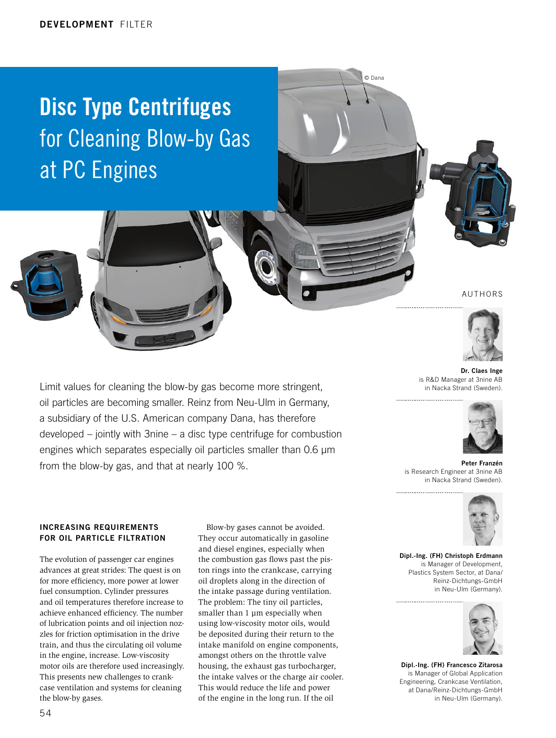# Disc Type Centrifuges for Cleaning Blow-by Gas at PC Engines

Limit values for cleaning the blow-by gas become more stringent, oil particles are becoming smaller. Reinz from Neu-Ulm in Germany, a subsidiary of the U.S. American company Dana, has therefore

developed – jointly with 3nine – a disc type centrifuge for combustion engines which separates especially oil particles smaller than 0.6 µm

© Dana

#### AUTHORS



Dr. Claes Inge is R&D Manager at 3nine AB in Nacka Strand (Sweden).



Peter Franzén is Research Engineer at 3nine AB in Nacka Strand (Sweden).



Dipl.-Ing. (FH) Christoph Erdmann is Manager of Development, Plastics System Sector, at Dana/ Reinz-Dichtungs-GmbH in Neu-Ulm (Germany).



Dipl.-Ing. (FH) Francesco Zitarosa is Manager of Global Application Engineering, Crankcase Ventilation, at Dana/Reinz-Dichtungs-GmbH in Neu-Ulm (Germany).

INCREASING REQUIREMENTS FOR OIL PARTICLE FILTRATION

from the blow-by gas, and that at nearly 100 %.

The evolution of passenger car engines advances at great strides: The quest is on for more efficiency, more power at lower fuel consumption. Cylinder pressures and oil temperatures therefore increase to achieve enhanced efficiency. The number of lubrication points and oil injection nozzles for friction optimisation in the drive train, and thus the circulating oil volume in the engine, increase. Low-viscosity motor oils are therefore used increasingly. This presents new challenges to crankcase ventilation and systems for cleaning the blow-by gases.

Blow-by gases cannot be avoided. They occur automatically in gasoline and diesel engines, especially when the combustion gas flows past the piston rings into the crankcase, carrying oil droplets along in the direction of the intake passage during ventilation. The problem: The tiny oil particles, smaller than 1 µm especially when using low-viscosity motor oils, would be deposited during their return to the intake manifold on engine components, amongst others on the throttle valve housing, the exhaust gas turbocharger, the intake valves or the charge air cooler. This would reduce the life and power of the engine in the long run. If the oil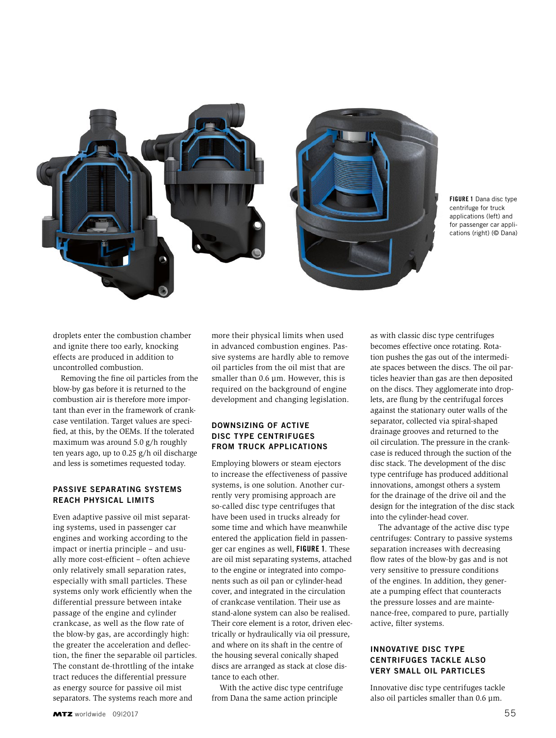

FIGURE 1 Dana disc type centrifuge for truck applications (left) and for passenger car applications (right) (© Dana)

droplets enter the combustion chamber and ignite there too early, knocking effects are produced in addition to uncontrolled combustion.

Removing the fine oil particles from the blow-by gas before it is returned to the combustion air is therefore more important than ever in the framework of crankcase ventilation. Target values are specified, at this, by the OEMs. If the tolerated maximum was around 5.0 g/h roughly ten years ago, up to 0.25 g/h oil discharge and less is sometimes requested today.

#### PASSIVE SEPARATING SYSTEMS REACH PHYSICAL LIMITS

Even adaptive passive oil mist separating systems, used in passenger car engines and working according to the impact or inertia principle – and usually more cost-efficient – often achieve only relatively small separation rates, especially with small particles. These systems only work efficiently when the differential pressure between intake passage of the engine and cylinder crankcase, as well as the flow rate of the blow-by gas, are accordingly high: the greater the acceleration and deflection, the finer the separable oil particles. The constant de-throttling of the intake tract reduces the differential pressure as energy source for passive oil mist separators. The systems reach more and

more their physical limits when used in advanced combustion engines. Passive systems are hardly able to remove oil particles from the oil mist that are smaller than 0.6 µm. However, this is required on the background of engine development and changing legislation.

#### DOWNSIZING OF ACTIVE DISC TYPE CENTRIFUGES FROM TRUCK APPLICATIONS

Employing blowers or steam ejectors to increase the effectiveness of passive systems, is one solution. Another currently very promising approach are so-called disc type centrifuges that have been used in trucks already for some time and which have meanwhile entered the application field in passenger car engines as well, FIGURE 1. These are oil mist separating systems, attached to the engine or integrated into components such as oil pan or cylinder-head cover, and integrated in the circulation of crankcase ventilation. Their use as stand-alone system can also be realised. Their core element is a rotor, driven electrically or hydraulically via oil pressure, and where on its shaft in the centre of the housing several conically shaped discs are arranged as stack at close distance to each other.

With the active disc type centrifuge from Dana the same action principle

as with classic disc type centrifuges becomes effective once rotating. Rotation pushes the gas out of the intermediate spaces between the discs. The oil particles heavier than gas are then deposited on the discs. They agglomerate into droplets, are flung by the centrifugal forces against the stationary outer walls of the separator, collected via spiral-shaped drainage grooves and returned to the oil circulation. The pressure in the crankcase is reduced through the suction of the disc stack. The development of the disc type centrifuge has produced additional innovations, amongst others a system for the drainage of the drive oil and the design for the integration of the disc stack into the cylinder-head cover.

The advantage of the active disc type centrifuges: Contrary to passive systems separation increases with decreasing flow rates of the blow-by gas and is not very sensitive to pressure conditions of the engines. In addition, they generate a pumping effect that counteracts the pressure losses and are maintenance-free, compared to pure, partially active, filter systems.

### INNOVATIVE DISC TYPE CENTRIFUGES TACKLE ALSO VERY SMALL OIL PARTICLES

Innovative disc type centrifuges tackle also oil particles smaller than 0.6 µm.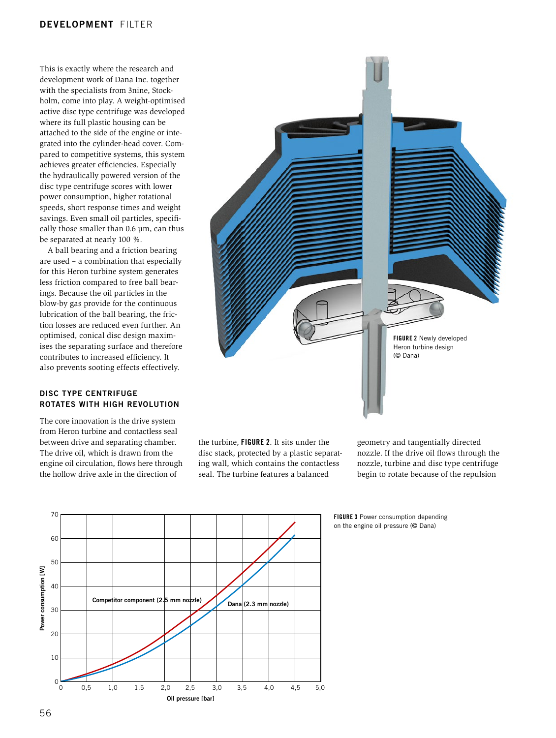### DEVELOPMENT Filter

This is exactly where the research and development work of Dana Inc. together with the specialists from 3nine, Stockholm, come into play. A weight-optimised active disc type centrifuge was developed where its full plastic housing can be attached to the side of the engine or integrated into the cylinder-head cover. Compared to competitive systems, this system achieves greater efficiencies. Especially the hydraulically powered version of the disc type centrifuge scores with lower power consumption, higher rotational speeds, short response times and weight savings. Even small oil particles, specifically those smaller than 0.6 µm, can thus be separated at nearly 100 %.

A ball bearing and a friction bearing are used – a combination that especially for this Heron turbine system generates less friction compared to free ball bearings. Because the oil particles in the blow-by gas provide for the continuous lubrication of the ball bearing, the friction losses are reduced even further. An optimised, conical disc design maximises the separating surface and therefore contributes to increased efficiency. It also prevents sooting effects effectively.

#### DISC TYPE CENTRIFUGE ROTATES WITH HIGH REVOLUTION

The core innovation is the drive system from Heron turbine and contactless seal between drive and separating chamber. The drive oil, which is drawn from the engine oil circulation, flows here through the hollow drive axle in the direction of



the turbine, FIGURE 2. It sits under the disc stack, protected by a plastic separating wall, which contains the contactless seal. The turbine features a balanced

geometry and tangentially directed nozzle. If the drive oil flows through the nozzle, turbine and disc type centrifuge begin to rotate because of the repulsion



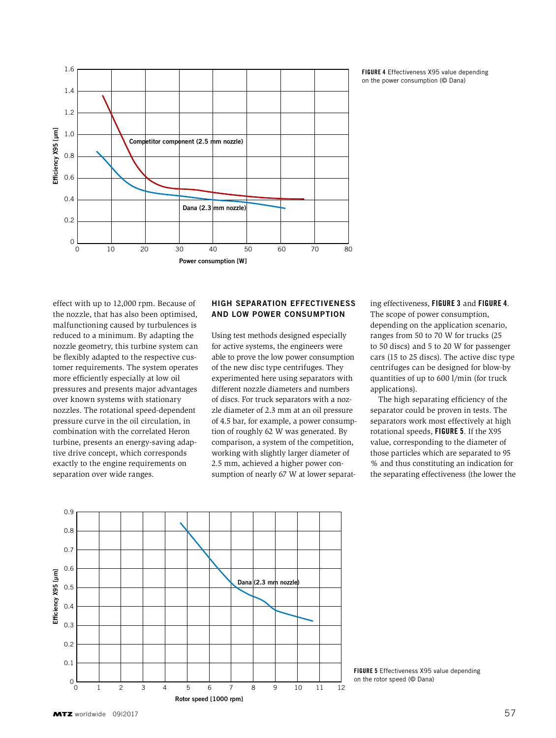

FIGURE 4 Effectiveness X95 value depending on the power consumption (© Dana)

effect with up to 12,000 rpm. Because of the nozzle, that has also been optimised, malfunctioning caused by turbulences is reduced to a minimum. By adapting the nozzle geometry, this turbine system can be flexibly adapted to the respective customer requirements. The system operates more efficiently especially at low oil pressures and presents major advantages over known systems with stationary nozzles. The rotational speed-dependent pressure curve in the oil circulation, in combination with the correlated Heron turbine, presents an energy-saving adaptive drive concept, which corresponds exactly to the engine requirements on separation over wide ranges.

### HIGH SEPARATION EFFECTIVENESS AND LOW POWER CONSUMPTION

Using test methods designed especially for active systems, the engineers were able to prove the low power consumption of the new disc type centrifuges. They experimented here using separators with different nozzle diameters and numbers of discs. For truck separators with a nozzle diameter of 2.3 mm at an oil pressure of 4.5 bar, for example, a power consumption of roughly 62 W was generated. By comparison, a system of the competition, working with slightly larger diameter of 2.5 mm, achieved a higher power consumption of nearly 67 W at lower separating effectiveness, FIGURE 3 and FIGURE 4. The scope of power consumption, depending on the application scenario, ranges from 50 to 70 W for trucks (25 to 50 discs) and 5 to 20 W for passenger cars (15 to 25 discs). The active disc type centrifuges can be designed for blow-by quantities of up to 600 l/min (for truck applications).

The high separating efficiency of the separator could be proven in tests. The separators work most effectively at high rotational speeds, FIGURE 5. If the X95 value, corresponding to the diameter of those particles which are separated to 95 % and thus constituting an indication for the separating effectiveness (the lower the



FIGURE 5 Effectiveness X95 value depending on the rotor speed (© Dana)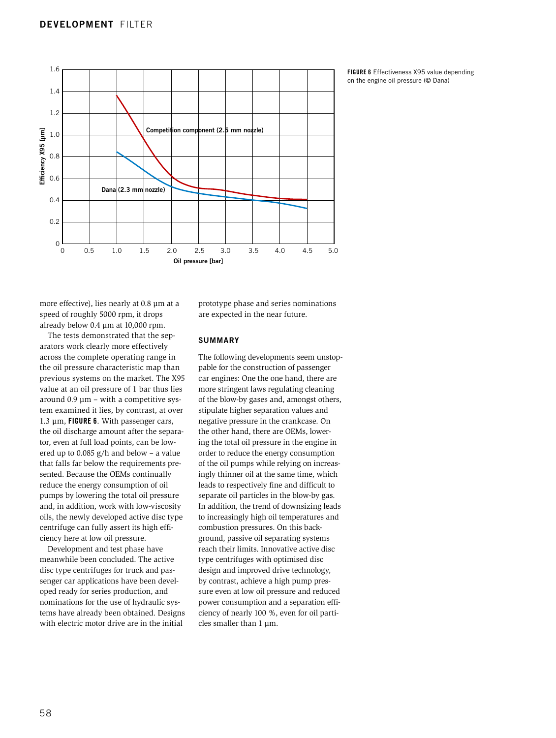

FIGURE 6 Effectiveness X95 value depending on the engine oil pressure (© Dana)

more effective), lies nearly at 0.8 µm at a speed of roughly 5000 rpm, it drops already below 0.4 µm at 10,000 rpm.

The tests demonstrated that the separators work clearly more effectively across the complete operating range in the oil pressure characteristic map than previous systems on the market. The X95 value at an oil pressure of 1 bar thus lies around  $0.9 \mu m$  – with a competitive system examined it lies, by contrast, at over 1.3  $\mu$ m, FIGURE 6. With passenger cars, the oil discharge amount after the separator, even at full load points, can be lowered up to 0.085 g/h and below – a value that falls far below the requirements presented. Because the OEMs continually reduce the energy consumption of oil pumps by lowering the total oil pressure and, in addition, work with low-viscosity oils, the newly developed active disc type centrifuge can fully assert its high efficiency here at low oil pressure.

Development and test phase have meanwhile been concluded. The active disc type centrifuges for truck and passenger car applications have been developed ready for series production, and nominations for the use of hydraulic systems have already been obtained. Designs with electric motor drive are in the initial

prototype phase and series nominations are expected in the near future.

#### SUMMARY

The following developments seem unstoppable for the construction of passenger car engines: One the one hand, there are more stringent laws regulating cleaning of the blow-by gases and, amongst others, stipulate higher separation values and negative pressure in the crankcase. On the other hand, there are OEMs, lowering the total oil pressure in the engine in order to reduce the energy consumption of the oil pumps while relying on increasingly thinner oil at the same time, which leads to respectively fine and difficult to separate oil particles in the blow-by gas. In addition, the trend of downsizing leads to increasingly high oil temperatures and combustion pressures. On this background, passive oil separating systems reach their limits. Innovative active disc type centrifuges with optimised disc design and improved drive technology, by contrast, achieve a high pump pressure even at low oil pressure and reduced power consumption and a separation efficiency of nearly 100 %, even for oil particles smaller than 1 µm.